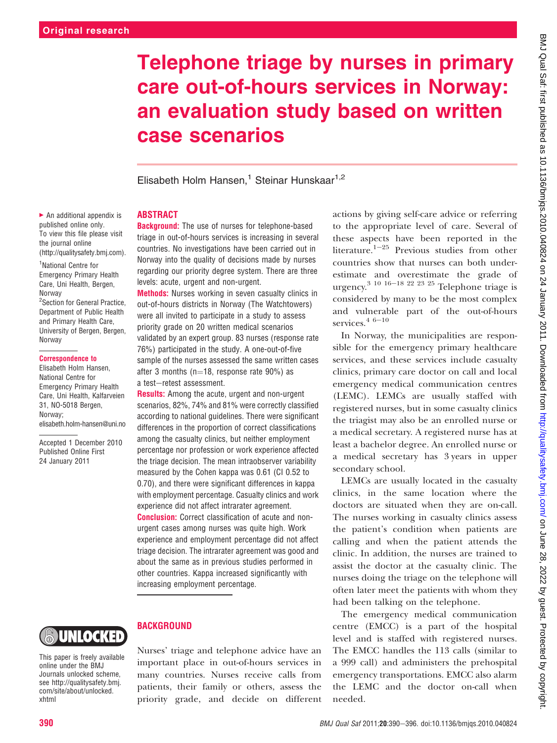# Telephone triage by nurses in primary care out-of-hours services in Norway: an evaluation study based on written case scenarios

Elisabeth Holm Hansen.<sup>1</sup> Steinar Hunskaar<sup>1,2</sup>

## ABSTRACT

**Background:** The use of nurses for telephone-based triage in out-of-hours services is increasing in several countries. No investigations have been carried out in Norway into the quality of decisions made by nurses regarding our priority degree system. There are three levels: acute, urgent and non-urgent.

**Methods:** Nurses working in seven casualty clinics in out-of-hours districts in Norway (The Watchtowers) were all invited to participate in a study to assess priority grade on 20 written medical scenarios validated by an expert group. 83 nurses (response rate 76%) participated in the study. A one-out-of-five sample of the nurses assessed the same written cases after 3 months ( $n=18$ , response rate 90%) as a test-retest assessment.

Results: Among the acute, urgent and non-urgent scenarios, 82%, 74% and 81% were correctly classified according to national guidelines. There were significant differences in the proportion of correct classifications among the casualty clinics, but neither employment percentage nor profession or work experience affected the triage decision. The mean intraobserver variability measured by the Cohen kappa was 0.61 (CI 0.52 to 0.70), and there were significant differences in kappa with employment percentage. Casualty clinics and work experience did not affect intrarater agreement. **Conclusion:** Correct classification of acute and nonurgent cases among nurses was quite high. Work experience and employment percentage did not affect triage decision. The intrarater agreement was good and about the same as in previous studies performed in other countries. Kappa increased significantly with increasing employment percentage.

actions by giving self-care advice or referring to the appropriate level of care. Several of these aspects have been reported in the literature.<sup>1-25</sup> Previous studies from other countries show that nurses can both underestimate and overestimate the grade of urgency.<sup>3 10 16–18 22 23 25</sup> Telephone triage is considered by many to be the most complex and vulnerable part of the out-of-hours services. $46-10$ 

In Norway, the municipalities are responsible for the emergency primary healthcare services, and these services include casualty clinics, primary care doctor on call and local emergency medical communication centres (LEMC). LEMCs are usually staffed with registered nurses, but in some casualty clinics the triagist may also be an enrolled nurse or a medical secretary. A registered nurse has at least a bachelor degree. An enrolled nurse or a medical secretary has 3 years in upper secondary school.

LEMCs are usually located in the casualty clinics, in the same location where the doctors are situated when they are on-call. The nurses working in casualty clinics assess the patient's condition when patients are calling and when the patient attends the clinic. In addition, the nurses are trained to assist the doctor at the casualty clinic. The nurses doing the triage on the telephone will often later meet the patients with whom they had been talking on the telephone.

The emergency medical communication centre (EMCC) is a part of the hospital level and is staffed with registered nurses. The EMCC handles the 113 calls (similar to a 999 call) and administers the prehospital emergency transportations. EMCC also alarm the LEMC and the doctor on-call when needed.

 $\blacktriangleright$  An additional appendix is published online only. To view this file please visit the journal online (http://qualitysafety.bmj.com).

1 National Centre for Emergency Primary Health Care, Uni Health, Bergen, Norway

<sup>2</sup>Section for General Practice, Department of Public Health and Primary Health Care, University of Bergen, Bergen, Norway

#### Correspondence to

Elisabeth Holm Hansen, National Centre for Emergency Primary Health Care, Uni Health, Kalfarveien 31, NO-5018 Bergen, Norway; elisabeth.holm-hansen@uni.no

Accepted 1 December 2010 Published Online First 24 January 2011

## **SUNLOCKED**

This paper is freely available online under the BMJ Journals unlocked scheme, see http://qualitysafety.bmj. com/site/about/unlocked. xhtml

## **BACKGROUND**

Nurses' triage and telephone advice have an important place in out-of-hours services in many countries. Nurses receive calls from patients, their family or others, assess the priority grade, and decide on different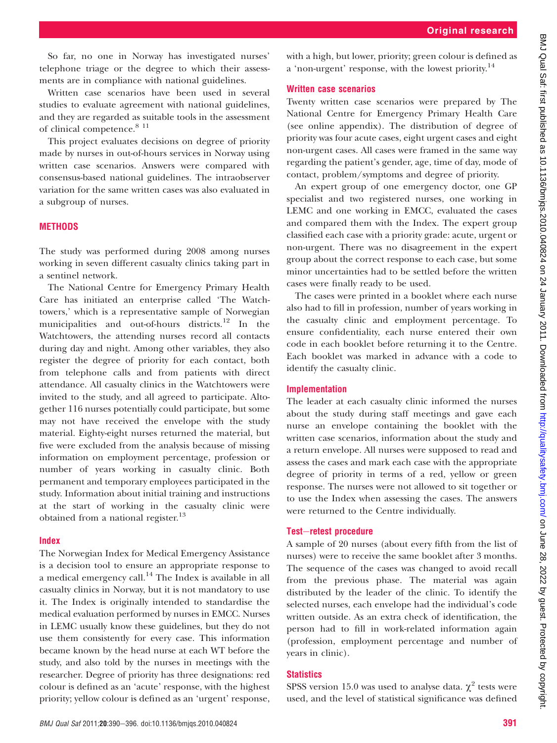So far, no one in Norway has investigated nurses' telephone triage or the degree to which their assessments are in compliance with national guidelines.

Written case scenarios have been used in several studies to evaluate agreement with national guidelines, and they are regarded as suitable tools in the assessment of clinical competence.<sup>8 11</sup>

This project evaluates decisions on degree of priority made by nurses in out-of-hours services in Norway using written case scenarios. Answers were compared with consensus-based national guidelines. The intraobserver variation for the same written cases was also evaluated in a subgroup of nurses.

## **METHODS**

The study was performed during 2008 among nurses working in seven different casualty clinics taking part in a sentinel network.

The National Centre for Emergency Primary Health Care has initiated an enterprise called 'The Watchtowers,' which is a representative sample of Norwegian municipalities and out-of-hours districts.<sup>12</sup> In the Watchtowers, the attending nurses record all contacts during day and night. Among other variables, they also register the degree of priority for each contact, both from telephone calls and from patients with direct attendance. All casualty clinics in the Watchtowers were invited to the study, and all agreed to participate. Altogether 116 nurses potentially could participate, but some may not have received the envelope with the study material. Eighty-eight nurses returned the material, but five were excluded from the analysis because of missing information on employment percentage, profession or number of years working in casualty clinic. Both permanent and temporary employees participated in the study. Information about initial training and instructions at the start of working in the casualty clinic were obtained from a national register.<sup>13</sup>

#### Index

The Norwegian Index for Medical Emergency Assistance is a decision tool to ensure an appropriate response to a medical emergency call.<sup>14</sup> The Index is available in all casualty clinics in Norway, but it is not mandatory to use it. The Index is originally intended to standardise the medical evaluation performed by nurses in EMCC. Nurses in LEMC usually know these guidelines, but they do not use them consistently for every case. This information became known by the head nurse at each WT before the study, and also told by the nurses in meetings with the researcher. Degree of priority has three designations: red colour is defined as an 'acute' response, with the highest priority; yellow colour is defined as an 'urgent' response,

with a high, but lower, priority; green colour is defined as a 'non-urgent' response, with the lowest priority.14

### Written case scenarios

Twenty written case scenarios were prepared by The National Centre for Emergency Primary Health Care (see online appendix). The distribution of degree of priority was four acute cases, eight urgent cases and eight non-urgent cases. All cases were framed in the same way regarding the patient's gender, age, time of day, mode of contact, problem/symptoms and degree of priority.

An expert group of one emergency doctor, one GP specialist and two registered nurses, one working in LEMC and one working in EMCC, evaluated the cases and compared them with the Index. The expert group classified each case with a priority grade: acute, urgent or non-urgent. There was no disagreement in the expert group about the correct response to each case, but some minor uncertainties had to be settled before the written cases were finally ready to be used.

The cases were printed in a booklet where each nurse also had to fill in profession, number of years working in the casualty clinic and employment percentage. To ensure confidentiality, each nurse entered their own code in each booklet before returning it to the Centre. Each booklet was marked in advance with a code to identify the casualty clinic.

#### Implementation

The leader at each casualty clinic informed the nurses about the study during staff meetings and gave each nurse an envelope containing the booklet with the written case scenarios, information about the study and a return envelope. All nurses were supposed to read and assess the cases and mark each case with the appropriate degree of priority in terms of a red, yellow or green response. The nurses were not allowed to sit together or to use the Index when assessing the cases. The answers were returned to the Centre individually.

## Test-retest procedure

A sample of 20 nurses (about every fifth from the list of nurses) were to receive the same booklet after 3 months. The sequence of the cases was changed to avoid recall from the previous phase. The material was again distributed by the leader of the clinic. To identify the selected nurses, each envelope had the individual's code written outside. As an extra check of identification, the person had to fill in work-related information again (profession, employment percentage and number of years in clinic).

## **Statistics**

SPSS version 15.0 was used to analyse data.  $\chi^2$  tests were used, and the level of statistical significance was defined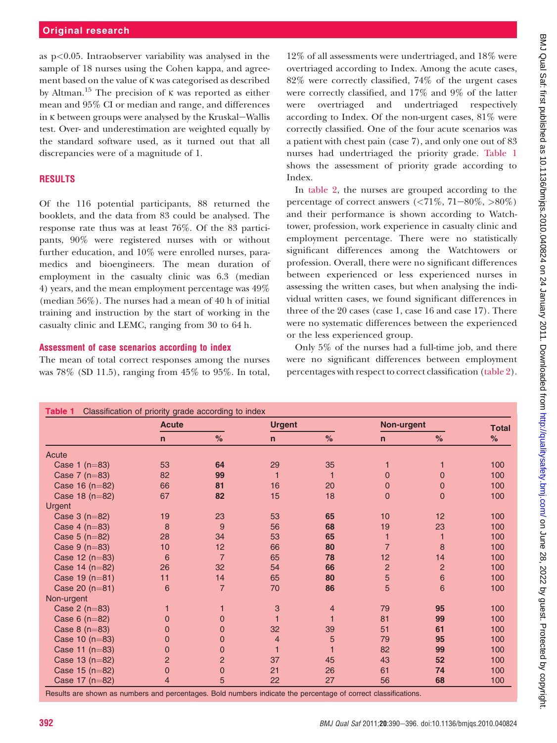as p<0.05. Intraobserver variability was analysed in the sample of 18 nurses using the Cohen kappa, and agreement based on the value of k was categorised as described by Altman.<sup>15</sup> The precision of  $\kappa$  was reported as either mean and 95% CI or median and range, and differences in  $\kappa$  between groups were analysed by the Kruskal–Wallis test. Over- and underestimation are weighted equally by the standard software used, as it turned out that all discrepancies were of a magnitude of 1.

## RESULTS

Of the 116 potential participants, 88 returned the booklets, and the data from 83 could be analysed. The response rate thus was at least 76%. Of the 83 participants, 90% were registered nurses with or without further education, and 10% were enrolled nurses, paramedics and bioengineers. The mean duration of employment in the casualty clinic was 6.3 (median 4) years, and the mean employment percentage was 49% (median 56%). The nurses had a mean of 40 h of initial training and instruction by the start of working in the casualty clinic and LEMC, ranging from 30 to 64 h.

## Assessment of case scenarios according to index

The mean of total correct responses among the nurses was 78% (SD 11.5), ranging from 45% to 95%. In total,

12% of all assessments were undertriaged, and 18% were overtriaged according to Index. Among the acute cases, 82% were correctly classified, 74% of the urgent cases were correctly classified, and 17% and 9% of the latter were overtriaged and undertriaged respectively according to Index. Of the non-urgent cases, 81% were correctly classified. One of the four acute scenarios was a patient with chest pain (case 7), and only one out of 83 nurses had undertriaged the priority grade. Table 1 shows the assessment of priority grade according to Index.

In table 2, the nurses are grouped according to the percentage of correct answers  $\left(\frac{51\%}{71\%}, \frac{71-80\%}{500}\right)$ and their performance is shown according to Watchtower, profession, work experience in casualty clinic and employment percentage. There were no statistically significant differences among the Watchtowers or profession. Overall, there were no significant differences between experienced or less experienced nurses in assessing the written cases, but when analysing the individual written cases, we found significant differences in three of the 20 cases (case 1, case 16 and case 17). There were no systematic differences between the experienced or the less experienced group.

Only 5% of the nurses had a full-time job, and there were no significant differences between employment percentages with respect to correct classification (table 2).

|                 | <b>Acute</b>   |                | <b>Urgent</b>  |    | Non-urgent     |                | <b>Total</b> |
|-----------------|----------------|----------------|----------------|----|----------------|----------------|--------------|
|                 | $\mathsf{n}$   | %              | $\mathsf{n}$   | %  | $\mathsf{n}$   | %              | $\%$         |
| Acute           |                |                |                |    |                |                |              |
| Case 1 $(n=83)$ | 53             | 64             | 29             | 35 |                |                | 100          |
| Case 7 $(n=83)$ | 82             | 99             | 1              |    | 0              | 0              | 100          |
| Case 16 (n=82)  | 66             | 81             | 16             | 20 | $\Omega$       | $\Omega$       | 100          |
| Case 18 (n=82)  | 67             | 82             | 15             | 18 | $\Omega$       | $\mathbf 0$    | 100          |
| <b>Urgent</b>   |                |                |                |    |                |                |              |
| Case 3 (n=82)   | 19             | 23             | 53             | 65 | 10             | 12             | 100          |
| Case $4(n=83)$  | 8              | 9              | 56             | 68 | 19             | 23             | 100          |
| Case $5(n=82)$  | 28             | 34             | 53             | 65 |                |                | 100          |
| Case 9 (n=83)   | 10             | 12             | 66             | 80 | $\overline{7}$ | 8              | 100          |
| Case 12 (n=83)  | 6              | $\overline{7}$ | 65             | 78 | 12             | 14             | 100          |
| Case 14 (n=82)  | 26             | 32             | 54             | 66 | $\overline{2}$ | $\overline{c}$ | 100          |
| Case 19 (n=81)  | 11             | 14             | 65             | 80 | 5              | 6              | 100          |
| Case 20 (n=81)  | 6              | $\overline{7}$ | 70             | 86 | 5              | 6              | 100          |
| Non-urgent      |                |                |                |    |                |                |              |
| Case 2 (n=83)   | 1              | 1              | 3              | 4  | 79             | 95             | 100          |
| Case $6(n=82)$  | 0              | 0              |                |    | 81             | 99             | 100          |
| Case $8(n=83)$  | 0              | $\Omega$       | 32             | 39 | 51             | 61             | 100          |
| Case 10 (n=83)  | 0              | 0              | $\overline{4}$ | 5  | 79             | 95             | 100          |
| Case 11 (n=83)  | 0              | $\mathbf 0$    |                |    | 82             | 99             | 100          |
| Case 13 (n=82)  | $\overline{2}$ | $\overline{2}$ | 37             | 45 | 43             | 52             | 100          |
| Case 15 (n=82)  | $\overline{0}$ | $\mathbf 0$    | 21             | 26 | 61             | 74             | 100          |
| Case 17 (n=82)  | 4              | 5              | 22             | 27 | 56             | 68             | 100          |

Results are shown as numbers and percentages. Bold numbers indicate the percentage of correct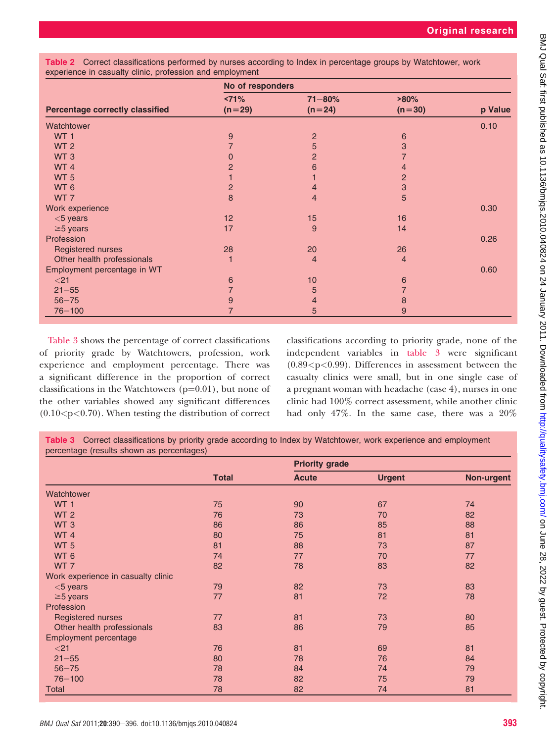Table 2 Correct classifications performed by nurses according to Index in percentage groups by Watchtower, work experience in casualty clinic, profession and employment

|                                        | No of responders   |                         |                     |         |
|----------------------------------------|--------------------|-------------------------|---------------------|---------|
| <b>Percentage correctly classified</b> | 1/271%<br>$(n=29)$ | $71 - 80\%$<br>$(n=24)$ | $>80\%$<br>$(n=30)$ | p Value |
| Watchtower                             |                    |                         |                     | 0.10    |
| WT <sub>1</sub>                        | 9                  | 2                       | 6                   |         |
| WT <sub>2</sub>                        | $\overline{7}$     | 5                       | 3                   |         |
| WT <sub>3</sub>                        | O                  | 2                       |                     |         |
| WT <sub>4</sub>                        | $\overline{2}$     | 6                       |                     |         |
| WT <sub>5</sub>                        |                    |                         | 2                   |         |
| WT <sub>6</sub>                        | $\overline{2}$     |                         | 3                   |         |
| WT <sub>7</sub>                        | 8                  | 4                       | 5                   |         |
| Work experience                        |                    |                         |                     | 0.30    |
| $<$ 5 years                            | 12                 | 15                      | 16                  |         |
| $\geq$ 5 years                         | 17                 | 9                       | 14                  |         |
| Profession                             |                    |                         |                     | 0.26    |
| Registered nurses                      | 28                 | 20                      | 26                  |         |
| Other health professionals             |                    | 4                       | $\overline{4}$      |         |
| Employment percentage in WT            |                    |                         |                     | 0.60    |
| $<$ 21                                 | 6                  | 10                      | 6                   |         |
| $21 - 55$                              | $\overline{7}$     | 5                       |                     |         |
| $56 - 75$                              | 9                  | 4                       | 8                   |         |
| $76 - 100$                             | $\overline{7}$     | 5                       | 9                   |         |

Table 3 shows the percentage of correct classifications of priority grade by Watchtowers, profession, work experience and employment percentage. There was a significant difference in the proportion of correct classifications in the Watchtowers ( $p=0.01$ ), but none of the other variables showed any significant differences  $(0.10 < p < 0.70)$ . When testing the distribution of correct

classifications according to priority grade, none of the independent variables in table 3 were significant  $(0.89 < p < 0.99)$ . Differences in assessment between the casualty clinics were small, but in one single case of a pregnant woman with headache (case 4), nurses in one clinic had 100% correct assessment, while another clinic had only 47%. In the same case, there was a 20%

Table 3 Correct classifications by priority grade according to Index by Watchtower, work experience and employment percentage (results shown as percentages)

|                                    |              | <b>Priority grade</b> |               |            |  |  |
|------------------------------------|--------------|-----------------------|---------------|------------|--|--|
|                                    | <b>Total</b> | <b>Acute</b>          | <b>Urgent</b> | Non-urgent |  |  |
| Watchtower                         |              |                       |               |            |  |  |
| WT <sub>1</sub>                    | 75           | 90                    | 67            | 74         |  |  |
| WT <sub>2</sub>                    | 76           | 73                    | 70            | 82         |  |  |
| WT <sub>3</sub>                    | 86           | 86                    | 85            | 88         |  |  |
| WT <sub>4</sub>                    | 80           | 75                    | 81            | 81         |  |  |
| WT <sub>5</sub>                    | 81           | 88                    | 73            | 87         |  |  |
| WT <sub>6</sub>                    | 74           | 77                    | 70            | 77         |  |  |
| WT <sub>7</sub>                    | 82           | 78                    | 83            | 82         |  |  |
| Work experience in casualty clinic |              |                       |               |            |  |  |
| $<$ 5 years                        | 79           | 82                    | 73            | 83         |  |  |
| $\geq$ 5 years                     | 77           | 81                    | 72            | 78         |  |  |
| Profession                         |              |                       |               |            |  |  |
| <b>Registered nurses</b>           | 77           | 81                    | 73            | 80         |  |  |
| Other health professionals         | 83           | 86                    | 79            | 85         |  |  |
| Employment percentage              |              |                       |               |            |  |  |
| $<$ 21                             | 76           | 81                    | 69            | 81         |  |  |
| $21 - 55$                          | 80           | 78                    | 76            | 84         |  |  |
| $56 - 75$                          | 78           | 84                    | 74            | 79         |  |  |
| $76 - 100$                         | 78           | 82                    | 75            | 79         |  |  |
| Total                              | 78           | 82                    | 74            | 81         |  |  |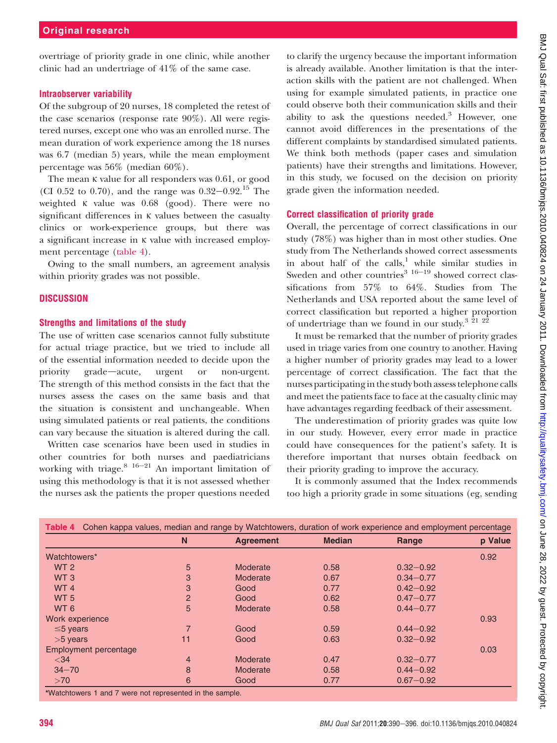overtriage of priority grade in one clinic, while another clinic had an undertriage of 41% of the same case.

### Intraobserver variability

Of the subgroup of 20 nurses, 18 completed the retest of the case scenarios (response rate 90%). All were registered nurses, except one who was an enrolled nurse. The mean duration of work experience among the 18 nurses was 6.7 (median 5) years, while the mean employment percentage was 56% (median 60%).

The mean  $\kappa$  value for all responders was 0.61, or good (CI 0.52 to 0.70), and the range was  $0.32-0.92$ <sup>15</sup> The weighted k value was 0.68 (good). There were no significant differences in k values between the casualty clinics or work-experience groups, but there was a significant increase in k value with increased employment percentage (table 4).

Owing to the small numbers, an agreement analysis within priority grades was not possible.

## **DISCUSSION**

## Strengths and limitations of the study

The use of written case scenarios cannot fully substitute for actual triage practice, but we tried to include all of the essential information needed to decide upon the priority grade—acute, urgent or non-urgent. The strength of this method consists in the fact that the nurses assess the cases on the same basis and that the situation is consistent and unchangeable. When using simulated patients or real patients, the conditions can vary because the situation is altered during the call.

Written case scenarios have been used in studies in other countries for both nurses and paediatricians working with triage. $8^{16-21}$  An important limitation of using this methodology is that it is not assessed whether the nurses ask the patients the proper questions needed

to clarify the urgency because the important information is already available. Another limitation is that the interaction skills with the patient are not challenged. When using for example simulated patients, in practice one could observe both their communication skills and their ability to ask the questions needed. $3$  However, one cannot avoid differences in the presentations of the different complaints by standardised simulated patients. We think both methods (paper cases and simulation patients) have their strengths and limitations. However, in this study, we focused on the decision on priority grade given the information needed.

## Correct classification of priority grade

Overall, the percentage of correct classifications in our study (78%) was higher than in most other studies. One study from The Netherlands showed correct assessments in about half of the calls, $\frac{1}{1}$  while similar studies in Sweden and other countries<sup>3</sup>  $16-19$  showed correct classifications from 57% to 64%. Studies from The Netherlands and USA reported about the same level of correct classification but reported a higher proportion of undertriage than we found in our study.<sup>3 21 22</sup>

It must be remarked that the number of priority grades used in triage varies from one country to another. Having a higher number of priority grades may lead to a lower percentage of correct classification. The fact that the nurses participatingin the study both assess telephone calls and meet the patients face to face at the casualty clinic may have advantages regarding feedback of their assessment.

The underestimation of priority grades was quite low in our study. However, every error made in practice could have consequences for the patient's safety. It is therefore important that nurses obtain feedback on their priority grading to improve the accuracy.

It is commonly assumed that the Index recommends too high a priority grade in some situations (eg, sending

|                       | N              | <b>Agreement</b> | <b>Median</b> | Range         | p Value |
|-----------------------|----------------|------------------|---------------|---------------|---------|
| Watchtowers*          |                |                  |               |               | 0.92    |
| WT <sub>2</sub>       | 5              | Moderate         | 0.58          | $0.32 - 0.92$ |         |
| WT <sub>3</sub>       | 3              | Moderate         | 0.67          | $0.34 - 0.77$ |         |
| WT <sub>4</sub>       | 3              | Good             | 0.77          | $0.42 - 0.92$ |         |
| WT <sub>5</sub>       | $\overline{2}$ | Good             | 0.62          | $0.47 - 0.77$ |         |
| WT <sub>6</sub>       | 5              | Moderate         | 0.58          | $0.44 - 0.77$ |         |
| Work experience       |                |                  |               |               | 0.93    |
| $\leq$ 5 years        | $\overline{7}$ | Good             | 0.59          | $0.44 - 0.92$ |         |
| $>5$ years            | 11             | Good             | 0.63          | $0.32 - 0.92$ |         |
| Employment percentage |                |                  |               |               | 0.03    |
| $34$                  | $\overline{4}$ | Moderate         | 0.47          | $0.32 - 0.77$ |         |
| $34 - 70$             | 8              | Moderate         | 0.58          | $0.44 - 0.92$ |         |
| >70                   | 6              | Good             | 0.77          | $0.67 - 0.92$ |         |

\*Watchtowers 1 and 7 were not represented in the sample.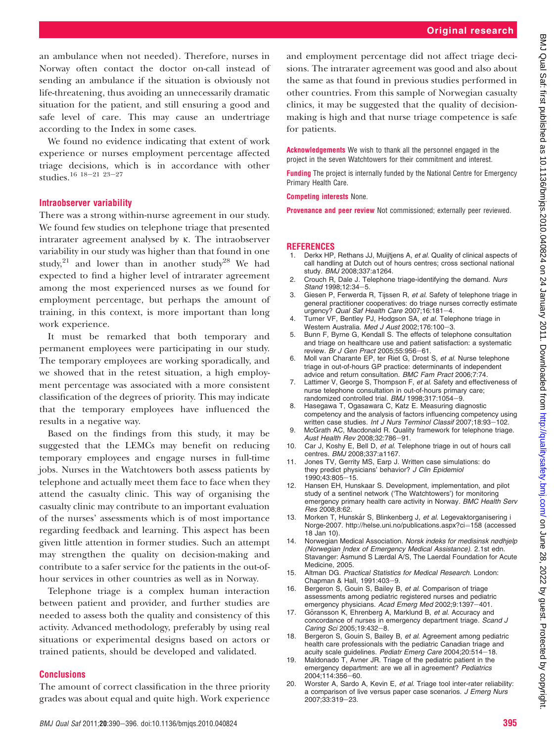an ambulance when not needed). Therefore, nurses in Norway often contact the doctor on-call instead of sending an ambulance if the situation is obviously not life-threatening, thus avoiding an unnecessarily dramatic situation for the patient, and still ensuring a good and safe level of care. This may cause an undertriage according to the Index in some cases.

We found no evidence indicating that extent of work experience or nurses employment percentage affected triage decisions, which is in accordance with other studies.<sup>16</sup> <sup>18-21</sup> <sup>23-27</sup>

#### Intraobserver variability

There was a strong within-nurse agreement in our study. We found few studies on telephone triage that presented intrarater agreement analysed by k. The intraobserver variability in our study was higher than that found in one study, $21$  and lower than in another study $28$  We had expected to find a higher level of intrarater agreement among the most experienced nurses as we found for employment percentage, but perhaps the amount of training, in this context, is more important than long work experience.

It must be remarked that both temporary and permanent employees were participating in our study. The temporary employees are working sporadically, and we showed that in the retest situation, a high employment percentage was associated with a more consistent classification of the degrees of priority. This may indicate that the temporary employees have influenced the results in a negative way.

Based on the findings from this study, it may be suggested that the LEMCs may benefit on reducing temporary employees and engage nurses in full-time jobs. Nurses in the Watchtowers both assess patients by telephone and actually meet them face to face when they attend the casualty clinic. This way of organising the casualty clinic may contribute to an important evaluation of the nurses' assessments which is of most importance regarding feedback and learning. This aspect has been given little attention in former studies. Such an attempt may strengthen the quality on decision-making and contribute to a safer service for the patients in the out-ofhour services in other countries as well as in Norway.

Telephone triage is a complex human interaction between patient and provider, and further studies are needed to assess both the quality and consistency of this activity. Advanced methodology, preferably by using real situations or experimental designs based on actors or trained patients, should be developed and validated.

### **Conclusions**

The amount of correct classification in the three priority grades was about equal and quite high. Work experience and employment percentage did not affect triage decisions. The intrarater agreement was good and also about the same as that found in previous studies performed in other countries. From this sample of Norwegian casualty clinics, it may be suggested that the quality of decisionmaking is high and that nurse triage competence is safe for patients.

Acknowledgements We wish to thank all the personnel engaged in the project in the seven Watchtowers for their commitment and interest.

Funding The project is internally funded by the National Centre for Emergency Primary Health Care.

Competing interests None.

Provenance and peer review Not commissioned; externally peer reviewed.

#### **REFERENCES**

- 1. Derkx HP, Rethans JJ, Muijtjens A, et al. Quality of clinical aspects of call handling at Dutch out of hours centres; cross sectional national study. BMJ 2008;337:a1264.
- 2. Crouch R, Dale J. Telephone triage-identifying the demand. Nurs Stand 1998;12:34-5.
- 3. Giesen P, Ferwerda R, Tijssen R, et al. Safety of telephone triage in general practitioner cooperatives: do triage nurses correctly estimate urgency? Qual Saf Health Care 2007;16:181-4.
- 4. Turner VF, Bentley PJ, Hodgson SA, et al. Telephone triage in Western Australia. Med J Aust 2002;176:100-3.
- 5. Bunn F, Byrne G, Kendall S. The effects of telephone consultation and triage on healthcare use and patient satisfaction: a systematic review. Br J Gen Pract 2005;55:956-61.
- 6. Moll van Charante EP, ter Riet G, Drost S, et al. Nurse telephone triage in out-of-hours GP practice: determinants of independent advice and return consultation. BMC Fam Pract 2006;7:74.
- 7. Lattimer V, George S, Thompson F, et al. Safety and effectiveness of nurse telephone consultation in out-of-hours primary care; randomized controlled trial. BMJ 1998;317:1054-9.
- 8. Hasegawa T, Ogasawara C, Katz E. Measuring diagnostic competency and the analysis of factors influencing competency using written case studies. Int J Nurs Terminol Classif 2007;18:93-102.
- McGrath AC, Macdonald R. Quality framework for telephone triage. Aust Health Rev 2008;32:786-91.
- 10. Car J, Koshy E, Bell D, et al. Telephone triage in out of hours call centres. BMJ 2008;337:a1167.
- 11. Jones TV, Gerrity MS, Earp J. Written case simulations: do they predict physicians' behavior? J Clin Epidemiol 1990;43:805-15.
- 12. Hansen EH, Hunskaar S. Development, implementation, and pilot study of a sentinel network ('The Watchtowers') for monitoring emergency primary health care activity in Norway. BMC Health Serv Res 2008;8:62.
- 13. Morken T, Hunskår S, Blinkenberg J, et al. Legevaktorganisering i Norge-2007. http://helse.uni.no/publications.aspx?ci=158 (accessed 18 Jan 10).
- 14. Norwegian Medical Association. Norsk indeks for medisinsk nødhjelp (Norwegian Index of Emergency Medical Assistance). 2.1st edn. Stavanger: Asmund S Lærdal A/S, The Laerdal Foundation for Acute Medicine, 2005.
- 15. Altman DG. Practical Statistics for Medical Research. London: Chapman & Hall, 1991:403-9.
- 16. Bergeron S, Gouin S, Bailey B, et al. Comparison of triage assessments among pediatric registered nurses and pediatric emergency physicians. Acad Emerg Med 2002;9:1397-401.
- 17. Göransson K, Ehrenberg A, Marklund B, et al. Accuracy and concordance of nurses in emergency department triage. Scand J Caring Sci 2005;19:432-8.
- 18. Bergeron S, Gouin S, Bailey B, et al. Agreement among pediatric health care professionals with the pediatric Canadian triage and acuity scale guidelines. Pediatr Emerg Care 2004;20:514-18.
- 19. Maldonado T, Avner JR. Triage of the pediatric patient in the emergency department: are we all in agreement? Pediatrics 2004;114:356-60.
- 20. Worster A, Sardo A, Kevin E, et al. Triage tool inter-rater reliability: a comparison of live versus paper case scenarios. J Emerg Nurs 2007;33:319-23.